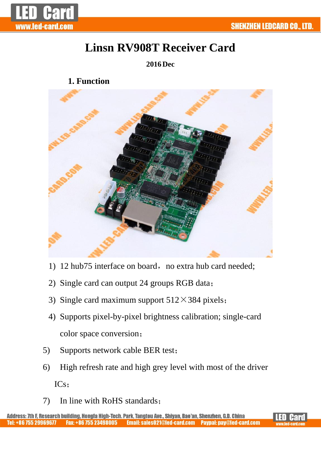



# **Linsn RV908T Receiver Card**

## **2016Dec**

**1. Function**



- 1) 12 hub75 interface on board, no extra hub card needed;
- 2) Single card can output 24 groups RGB data;
- 3) Single card maximum support  $512 \times 384$  pixels;
- 4) Supports pixel-by-pixel brightness calibration; single-card color space conversion;
- 5) Supports network cable BER test;
- 6) High refresh rate and high grey level with most of the driver ICs;
- 7) In line with RoHS standards;

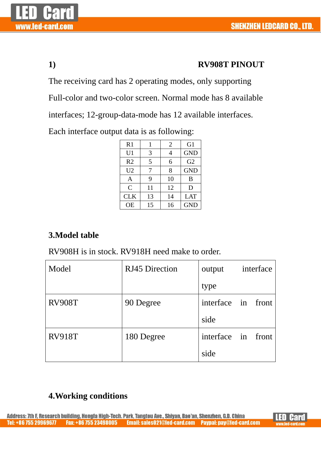

## **1) RV908T PINOUT**

The receiving card has 2 operating modes, only supporting

Full-color and two-color screen. Normal mode has 8 available

interfaces; 12-group-data-mode has 12 available interfaces.

Each interface output data is as following:

| R1             |    | $\overline{2}$ | G1             |  |
|----------------|----|----------------|----------------|--|
| U1             | 3  | 4              | <b>GND</b>     |  |
| R <sub>2</sub> | 5  | 6              | G <sub>2</sub> |  |
| U <sub>2</sub> | 7  | 8              | <b>GND</b>     |  |
| A              | 9  | 10             | B              |  |
| $\overline{C}$ | 11 | 12             | D              |  |
| <b>CLK</b>     | 13 | 14             | <b>LAT</b>     |  |
| <b>OE</b>      | 15 | 16             | <b>GND</b>     |  |

# **3.Model table**

RV908H is in stock. RV918H need make to order.

| Model         | RJ45 Direction | interface<br>output |  |
|---------------|----------------|---------------------|--|
|               |                | type                |  |
| <b>RV908T</b> | 90 Degree      | interface in front  |  |
|               |                | side                |  |
| <b>RV918T</b> | 180 Degree     | interface in front  |  |
|               |                | side                |  |

# **4.Working conditions**

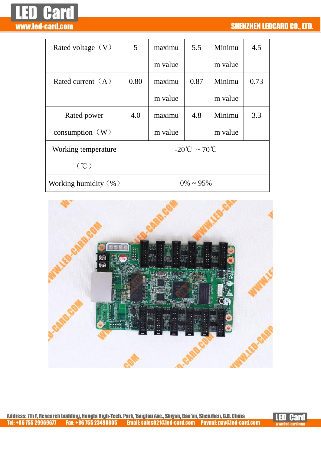

| Rated voltage $(V)$      | 5                                   | maximu  | 5.5  | Minimu  | 4.5  |
|--------------------------|-------------------------------------|---------|------|---------|------|
|                          |                                     | m value |      | m value |      |
| Rated current $(A)$      | 0.80                                | maximu  | 0.87 | Minimu  | 0.73 |
|                          |                                     | m value |      | m value |      |
| Rated power              | 4.0                                 | maximu  | 4.8  | Minimu  | 3.3  |
| consumption $(W)$        |                                     | m value |      | m value |      |
| Working temperature      | $-20^{\circ}$ C ~ 70 <sup>°</sup> C |         |      |         |      |
| (°C)                     |                                     |         |      |         |      |
| Working humidity $(\% )$ | $0\% \sim 95\%$                     |         |      |         |      |